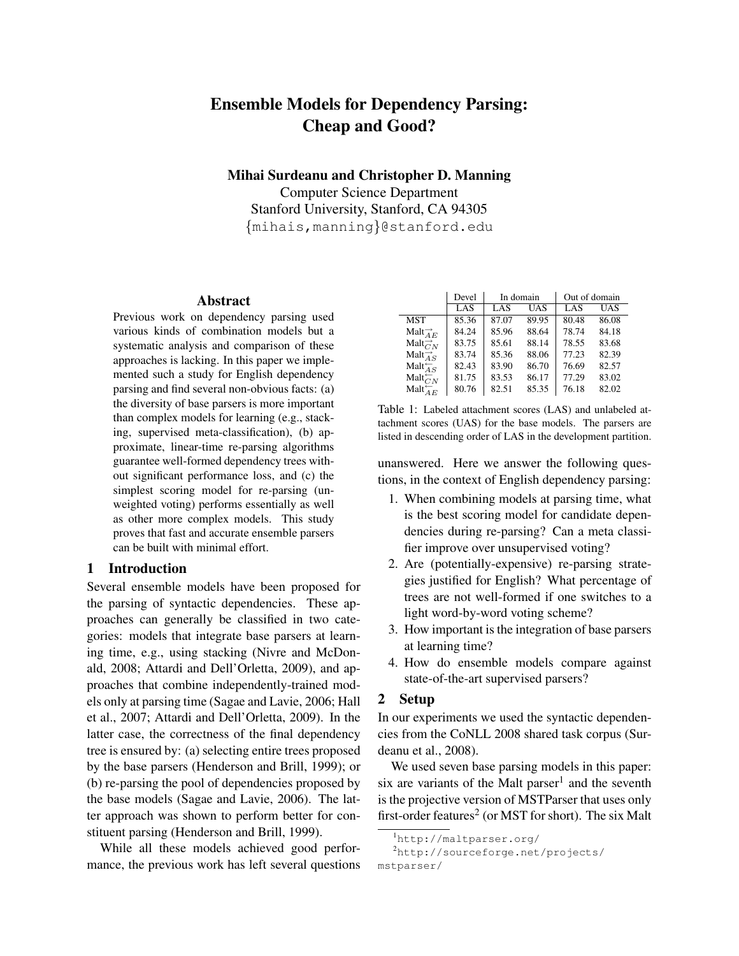# Ensemble Models for Dependency Parsing: Cheap and Good?

Mihai Surdeanu and Christopher D. Manning

Computer Science Department Stanford University, Stanford, CA 94305 {mihais,manning}@stanford.edu

#### Abstract

Previous work on dependency parsing used various kinds of combination models but a systematic analysis and comparison of these approaches is lacking. In this paper we implemented such a study for English dependency parsing and find several non-obvious facts: (a) the diversity of base parsers is more important than complex models for learning (e.g., stacking, supervised meta-classification), (b) approximate, linear-time re-parsing algorithms guarantee well-formed dependency trees without significant performance loss, and (c) the simplest scoring model for re-parsing (unweighted voting) performs essentially as well as other more complex models. This study proves that fast and accurate ensemble parsers can be built with minimal effort.

## 1 Introduction

Several ensemble models have been proposed for the parsing of syntactic dependencies. These approaches can generally be classified in two categories: models that integrate base parsers at learning time, e.g., using stacking (Nivre and McDonald, 2008; Attardi and Dell'Orletta, 2009), and approaches that combine independently-trained models only at parsing time (Sagae and Lavie, 2006; Hall et al., 2007; Attardi and Dell'Orletta, 2009). In the latter case, the correctness of the final dependency tree is ensured by: (a) selecting entire trees proposed by the base parsers (Henderson and Brill, 1999); or (b) re-parsing the pool of dependencies proposed by the base models (Sagae and Lavie, 2006). The latter approach was shown to perform better for constituent parsing (Henderson and Brill, 1999).

While all these models achieved good performance, the previous work has left several questions

|                               | Devel | In domain |       | Out of domain |       |  |
|-------------------------------|-------|-----------|-------|---------------|-------|--|
|                               | LAS   | LAS       | UAS   | LAS           | UAS   |  |
| MST                           | 85.36 | 87.07     | 89.95 | 80.48         | 86.08 |  |
| Malt $\overrightarrow{A}_E$   | 84.24 | 85.96     | 88.64 | 78.74         | 84.18 |  |
| Malt $\overrightarrow{C}_N$   | 83.75 | 85.61     | 88.14 | 78.55         | 83.68 |  |
| Malt $\overrightarrow{A}_{S}$ | 83.74 | 85.36     | 88.06 | 77.23         | 82.39 |  |
| Malt $\overleftarrow{A}_S$    | 82.43 | 83.90     | 86.70 | 76.69         | 82.57 |  |
| Malt $\overleftarrow{C_N}$    | 81.75 | 83.53     | 86.17 | 77.29         | 83.02 |  |
| Malt $\overleftarrow{A_E}$    | 80.76 | 82.51     | 85.35 | 76.18         | 82.02 |  |

Table 1: Labeled attachment scores (LAS) and unlabeled attachment scores (UAS) for the base models. The parsers are listed in descending order of LAS in the development partition.

unanswered. Here we answer the following questions, in the context of English dependency parsing:

- 1. When combining models at parsing time, what is the best scoring model for candidate dependencies during re-parsing? Can a meta classifier improve over unsupervised voting?
- 2. Are (potentially-expensive) re-parsing strategies justified for English? What percentage of trees are not well-formed if one switches to a light word-by-word voting scheme?
- 3. How important is the integration of base parsers at learning time?
- 4. How do ensemble models compare against state-of-the-art supervised parsers?

#### 2 Setup

In our experiments we used the syntactic dependencies from the CoNLL 2008 shared task corpus (Surdeanu et al., 2008).

We used seven base parsing models in this paper: six are variants of the Malt parser<sup>1</sup> and the seventh is the projective version of MSTParser that uses only first-order features $^2$  (or MST for short). The six Malt

<sup>1</sup>http://maltparser.org/

<sup>2</sup>http://sourceforge.net/projects/ mstparser/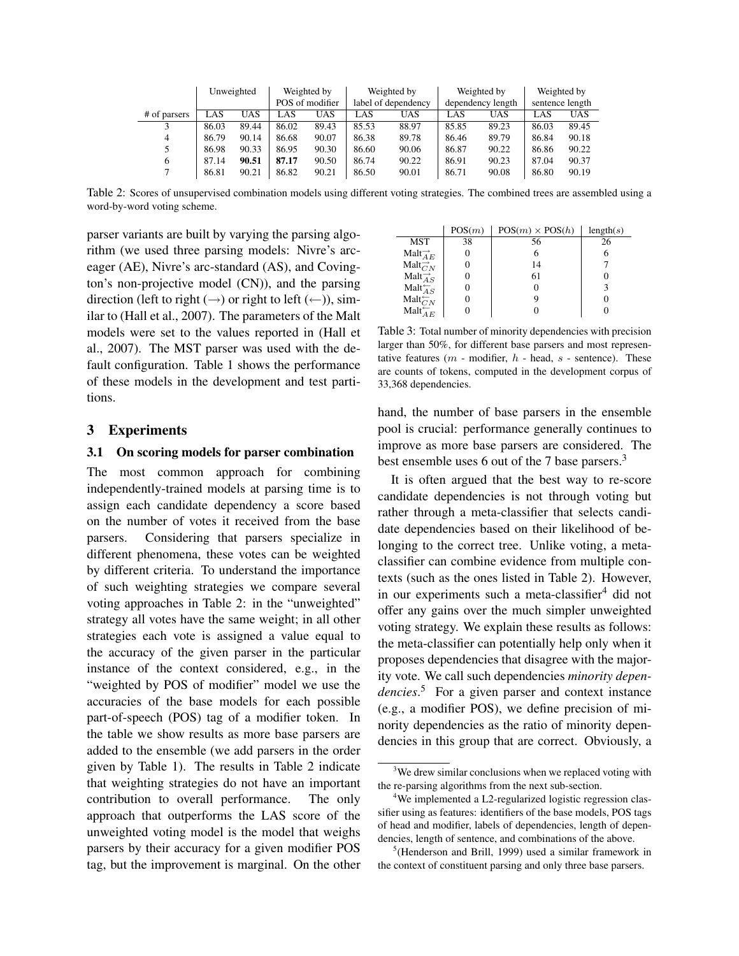|              |       | Unweighted |       | Weighted by     |       | Weighted by         |       | Weighted by       |       | Weighted by     |
|--------------|-------|------------|-------|-----------------|-------|---------------------|-------|-------------------|-------|-----------------|
|              |       |            |       | POS of modifier |       | label of dependency |       | dependency length |       | sentence length |
| # of parsers | LAS   | UAS        | LAS   | UAS             | LAS   | UAS                 | LAS   | UAS               | LAS   | UAS             |
| 3            | 86.03 | 89.44      | 86.02 | 89.43           | 85.53 | 88.97               | 85.85 | 89.23             | 86.03 | 89.45           |
| 4            | 86.79 | 90.14      | 86.68 | 90.07           | 86.38 | 89.78               | 86.46 | 89.79             | 86.84 | 90.18           |
| 5            | 86.98 | 90.33      | 86.95 | 90.30           | 86.60 | 90.06               | 86.87 | 90.22             | 86.86 | 90.22           |
| 6            | 87.14 | 90.51      | 87.17 | 90.50           | 86.74 | 90.22               | 86.91 | 90.23             | 87.04 | 90.37           |
|              | 86.81 | 90.21      | 86.82 | 90.21           | 86.50 | 90.01               | 86.71 | 90.08             | 86.80 | 90.19           |

Table 2: Scores of unsupervised combination models using different voting strategies. The combined trees are assembled using a word-by-word voting scheme.

parser variants are built by varying the parsing algorithm (we used three parsing models: Nivre's arceager (AE), Nivre's arc-standard (AS), and Covington's non-projective model (CN)), and the parsing direction (left to right  $(\rightarrow)$  or right to left  $(\leftarrow)$ ), similar to (Hall et al., 2007). The parameters of the Malt models were set to the values reported in (Hall et al., 2007). The MST parser was used with the default configuration. Table 1 shows the performance of these models in the development and test partitions.

## 3 Experiments

#### 3.1 On scoring models for parser combination

The most common approach for combining independently-trained models at parsing time is to assign each candidate dependency a score based on the number of votes it received from the base parsers. Considering that parsers specialize in different phenomena, these votes can be weighted by different criteria. To understand the importance of such weighting strategies we compare several voting approaches in Table 2: in the "unweighted" strategy all votes have the same weight; in all other strategies each vote is assigned a value equal to the accuracy of the given parser in the particular instance of the context considered, e.g., in the "weighted by POS of modifier" model we use the accuracies of the base models for each possible part-of-speech (POS) tag of a modifier token. In the table we show results as more base parsers are added to the ensemble (we add parsers in the order given by Table 1). The results in Table 2 indicate that weighting strategies do not have an important contribution to overall performance. The only approach that outperforms the LAS score of the unweighted voting model is the model that weighs parsers by their accuracy for a given modifier POS tag, but the improvement is marginal. On the other

|                                 | POS(m) | $POS(m)\times POS(h)$ | length(s) |
|---------------------------------|--------|-----------------------|-----------|
| <b>MST</b>                      | 38     | 56                    | 26        |
| Malt $\overrightarrow{A_E}$     |        | 6                     |           |
| Malt $\overrightarrow{C}_N$     |        | 14                    |           |
| Malt $\overrightarrow{As}$      |        | 61                    |           |
| Malt $\overleftarrow{As}$       |        | 0                     |           |
| $\text{Malt}_{CN}^{\leftarrow}$ |        | 9                     |           |
| Malt $\overleftarrow{A_E}$      |        |                       |           |

Table 3: Total number of minority dependencies with precision larger than 50%, for different base parsers and most representative features ( $m$  - modifier,  $h$  - head,  $s$  - sentence). These are counts of tokens, computed in the development corpus of 33,368 dependencies.

hand, the number of base parsers in the ensemble pool is crucial: performance generally continues to improve as more base parsers are considered. The best ensemble uses 6 out of the 7 base parsers.<sup>3</sup>

It is often argued that the best way to re-score candidate dependencies is not through voting but rather through a meta-classifier that selects candidate dependencies based on their likelihood of belonging to the correct tree. Unlike voting, a metaclassifier can combine evidence from multiple contexts (such as the ones listed in Table 2). However, in our experiments such a meta-classifier $4$  did not offer any gains over the much simpler unweighted voting strategy. We explain these results as follows: the meta-classifier can potentially help only when it proposes dependencies that disagree with the majority vote. We call such dependencies *minority dependencies*. <sup>5</sup> For a given parser and context instance (e.g., a modifier POS), we define precision of minority dependencies as the ratio of minority dependencies in this group that are correct. Obviously, a

 $3$ We drew similar conclusions when we replaced voting with the re-parsing algorithms from the next sub-section.

<sup>&</sup>lt;sup>4</sup>We implemented a L2-regularized logistic regression classifier using as features: identifiers of the base models, POS tags of head and modifier, labels of dependencies, length of dependencies, length of sentence, and combinations of the above.

<sup>5</sup> (Henderson and Brill, 1999) used a similar framework in the context of constituent parsing and only three base parsers.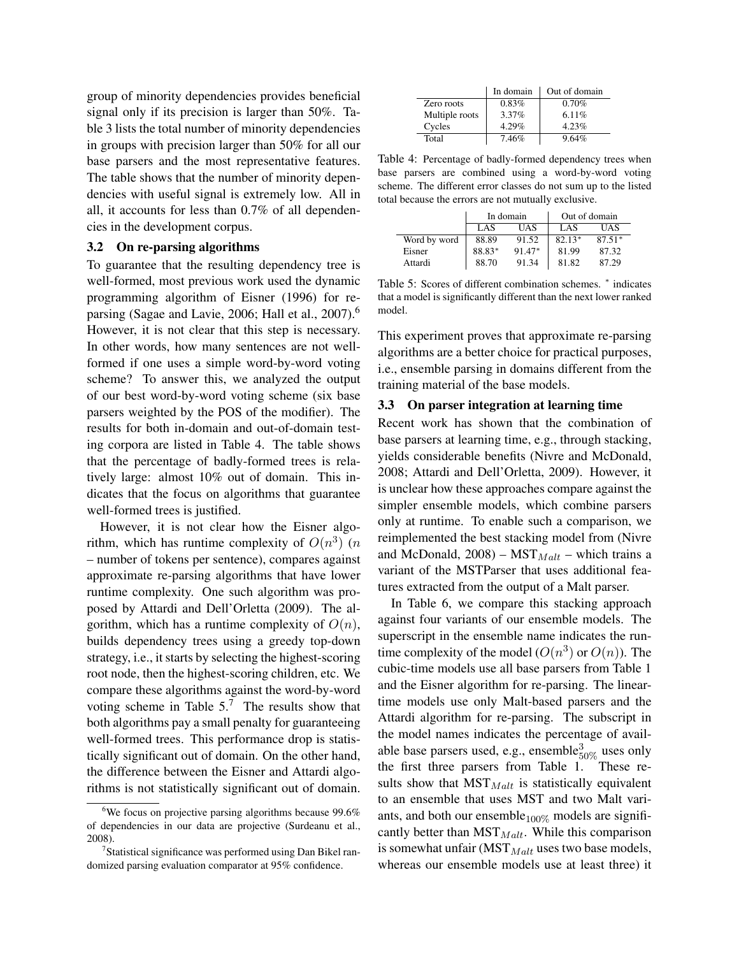group of minority dependencies provides beneficial signal only if its precision is larger than 50%. Table 3 lists the total number of minority dependencies in groups with precision larger than 50% for all our base parsers and the most representative features. The table shows that the number of minority dependencies with useful signal is extremely low. All in all, it accounts for less than 0.7% of all dependencies in the development corpus.

#### 3.2 On re-parsing algorithms

To guarantee that the resulting dependency tree is well-formed, most previous work used the dynamic programming algorithm of Eisner (1996) for reparsing (Sagae and Lavie, 2006; Hall et al., 2007).<sup>6</sup> However, it is not clear that this step is necessary. In other words, how many sentences are not wellformed if one uses a simple word-by-word voting scheme? To answer this, we analyzed the output of our best word-by-word voting scheme (six base parsers weighted by the POS of the modifier). The results for both in-domain and out-of-domain testing corpora are listed in Table 4. The table shows that the percentage of badly-formed trees is relatively large: almost 10% out of domain. This indicates that the focus on algorithms that guarantee well-formed trees is justified.

However, it is not clear how the Eisner algorithm, which has runtime complexity of  $O(n^3)$  (*n* – number of tokens per sentence), compares against approximate re-parsing algorithms that have lower runtime complexity. One such algorithm was proposed by Attardi and Dell'Orletta (2009). The algorithm, which has a runtime complexity of  $O(n)$ , builds dependency trees using a greedy top-down strategy, i.e., it starts by selecting the highest-scoring root node, then the highest-scoring children, etc. We compare these algorithms against the word-by-word voting scheme in Table  $5<sup>7</sup>$ . The results show that both algorithms pay a small penalty for guaranteeing well-formed trees. This performance drop is statistically significant out of domain. On the other hand, the difference between the Eisner and Attardi algorithms is not statistically significant out of domain.

|                | In domain | Out of domain |
|----------------|-----------|---------------|
| Zero roots     | 0.83%     | 0.70%         |
| Multiple roots | 3.37%     | 6.11%         |
| Cycles         | 4.29%     | 4.23%         |
| Total          | 7.46%     | 9.64%         |

Table 4: Percentage of badly-formed dependency trees when base parsers are combined using a word-by-word voting scheme. The different error classes do not sum up to the listed total because the errors are not mutually exclusive.

|              |        | In domain | Out of domain |          |  |
|--------------|--------|-----------|---------------|----------|--|
|              | LAS    | UAS       | LAS           | UAS      |  |
| Word by word | 88.89  | 91.52     | $82.13*$      | $87.51*$ |  |
| Eisner       | 88.83* | 91.47*    | 81.99         | 87.32    |  |
| Attardi      | 88.70  | 91.34     | 81.82         | 87.29    |  |

Table 5: Scores of different combination schemes. <sup>∗</sup> indicates that a model is significantly different than the next lower ranked model.

This experiment proves that approximate re-parsing algorithms are a better choice for practical purposes, i.e., ensemble parsing in domains different from the training material of the base models.

# 3.3 On parser integration at learning time

Recent work has shown that the combination of base parsers at learning time, e.g., through stacking, yields considerable benefits (Nivre and McDonald, 2008; Attardi and Dell'Orletta, 2009). However, it is unclear how these approaches compare against the simpler ensemble models, which combine parsers only at runtime. To enable such a comparison, we reimplemented the best stacking model from (Nivre and McDonald,  $2008$ ) – MST<sub>Malt</sub> – which trains a variant of the MSTParser that uses additional features extracted from the output of a Malt parser.

In Table 6, we compare this stacking approach against four variants of our ensemble models. The superscript in the ensemble name indicates the runtime complexity of the model  $(O(n^3)$  or  $O(n)$ ). The cubic-time models use all base parsers from Table 1 and the Eisner algorithm for re-parsing. The lineartime models use only Malt-based parsers and the Attardi algorithm for re-parsing. The subscript in the model names indicates the percentage of available base parsers used, e.g., ensemble $_{50\%}^3$  uses only the first three parsers from Table 1. These results show that  $MST_{Malt}$  is statistically equivalent to an ensemble that uses MST and two Malt variants, and both our ensemble $100\%$  models are significantly better than  $MST_{Malt}$ . While this comparison is somewhat unfair ( $MST_{Malt}$  uses two base models, whereas our ensemble models use at least three) it

 $6$ We focus on projective parsing algorithms because 99.6% of dependencies in our data are projective (Surdeanu et al., 2008).

<sup>&</sup>lt;sup>7</sup>Statistical significance was performed using Dan Bikel randomized parsing evaluation comparator at 95% confidence.